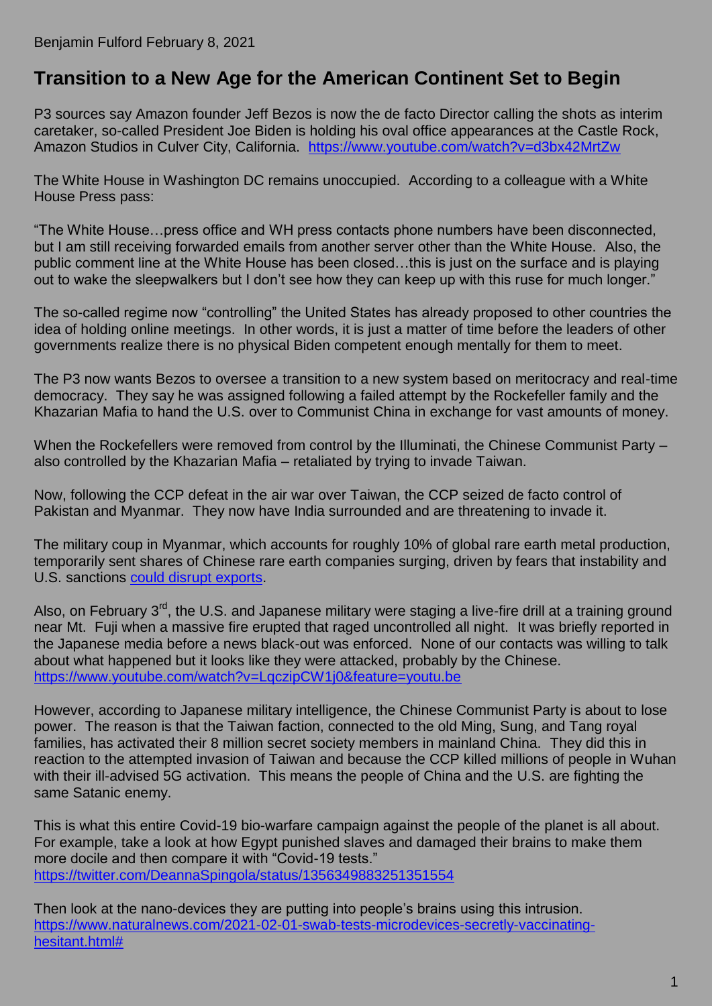## **[Transition to a New Age for the American Continent Set to Begin](https://benjaminfulford.net/2021/02/08/transition-to-a-new-age-for-the-american-continent-set-to-begin/)**

P3 sources say Amazon founder Jeff Bezos is now the de facto Director calling the shots as interim caretaker, so-called President Joe Biden is holding his oval office appearances at the Castle Rock, Amazon Studios in Culver City, California. <https://www.youtube.com/watch?v=d3bx42MrtZw>

The White House in Washington DC remains unoccupied. According to a colleague with a White House Press pass:

"The White House…press office and WH press contacts phone numbers have been disconnected, but I am still receiving forwarded emails from another server other than the White House. Also, the public comment line at the White House has been closed…this is just on the surface and is playing out to wake the sleepwalkers but I don't see how they can keep up with this ruse for much longer."

The so-called regime now "controlling" the United States has already proposed to other countries the idea of holding online meetings. In other words, it is just a matter of time before the leaders of other governments realize there is no physical Biden competent enough mentally for them to meet.

The P3 now wants Bezos to oversee a transition to a new system based on meritocracy and real-time democracy. They say he was assigned following a failed attempt by the Rockefeller family and the Khazarian Mafia to hand the U.S. over to Communist China in exchange for vast amounts of money.

When the Rockefellers were removed from control by the Illuminati, the Chinese Communist Party – also controlled by the Khazarian Mafia – retaliated by trying to invade Taiwan.

Now, following the CCP defeat in the air war over Taiwan, the CCP seized de facto control of Pakistan and Myanmar. They now have India surrounded and are threatening to invade it.

The military coup in Myanmar, which accounts for roughly 10% of global rare earth metal production, temporarily sent shares of Chinese rare earth companies surging, driven by fears that instability and U.S. sanctions [could disrupt exports.](https://www.argusmedia.com/en/news/2183354-china-rare-earth-shares-surge-after-burma-coup)

Also, on February 3<sup>rd</sup>, the U.S. and Japanese military were staging a live-fire drill at a training ground near Mt. Fuji when a massive fire erupted that raged uncontrolled all night. It was briefly reported in the Japanese media before a news black-out was enforced. None of our contacts was willing to talk about what happened but it looks like they were attacked, probably by the Chinese. <https://www.youtube.com/watch?v=LqczipCW1j0&feature=youtu.be>

However, according to Japanese military intelligence, the Chinese Communist Party is about to lose power. The reason is that the Taiwan faction, connected to the old Ming, Sung, and Tang royal families, has activated their 8 million secret society members in mainland China. They did this in reaction to the attempted invasion of Taiwan and because the CCP killed millions of people in Wuhan with their ill-advised 5G activation. This means the people of China and the U.S. are fighting the same Satanic enemy.

This is what this entire Covid-19 bio-warfare campaign against the people of the planet is all about. For example, take a look at how Egypt punished slaves and damaged their brains to make them more docile and then compare it with "Covid-19 tests." <https://twitter.com/DeannaSpingola/status/1356349883251351554>

Then look at the nano-devices they are putting into people's brains using this intrusion. [https://www.naturalnews.com/2021-02-01-swab-tests-microdevices-secretly-vaccinating](https://www.naturalnews.com/2021-02-01-swab-tests-microdevices-secretly-vaccinating-hesitant.html)[hesitant.html#](https://www.naturalnews.com/2021-02-01-swab-tests-microdevices-secretly-vaccinating-hesitant.html)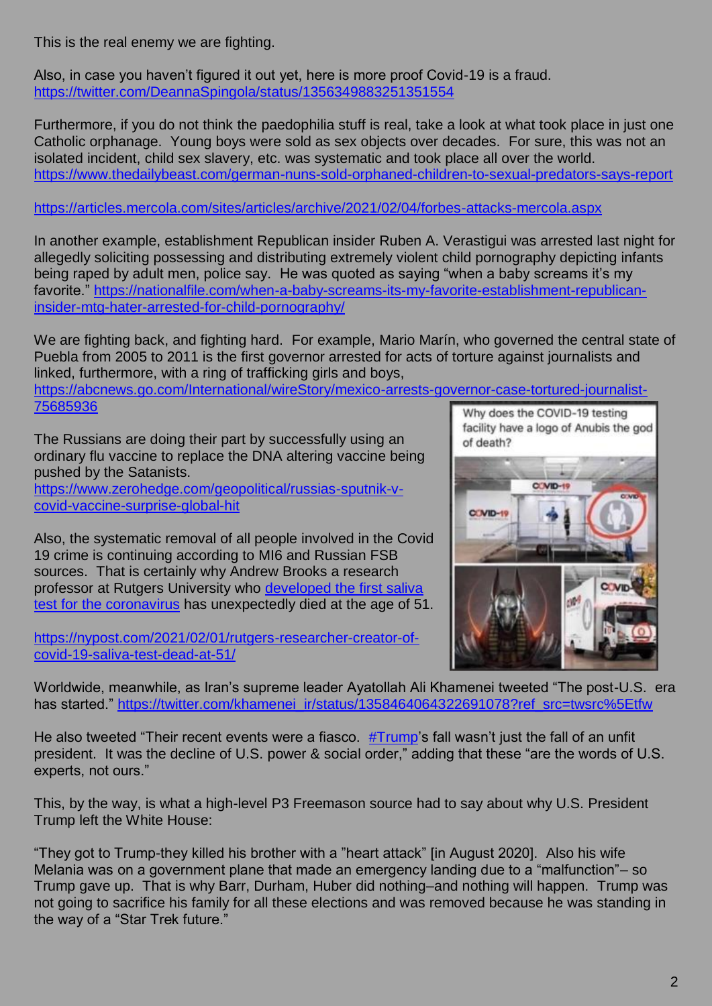This is the real enemy we are fighting.

Also, in case you haven't figured it out yet, here is more proof Covid-19 is a fraud. <https://twitter.com/DeannaSpingola/status/1356349883251351554>

Furthermore, if you do not think the paedophilia stuff is real, take a look at what took place in just one Catholic orphanage. Young boys were sold as sex objects over decades. For sure, this was not an isolated incident, child sex slavery, etc. was systematic and took place all over the world. <https://www.thedailybeast.com/german-nuns-sold-orphaned-children-to-sexual-predators-says-report>

<https://articles.mercola.com/sites/articles/archive/2021/02/04/forbes-attacks-mercola.aspx>

In another example, establishment Republican insider Ruben A. Verastigui was arrested last night for allegedly soliciting possessing and distributing extremely violent child pornography depicting infants being raped by adult men, police say. He was quoted as saying "when a baby screams it's my favorite." [https://nationalfile.com/when-a-baby-screams-its-my-favorite-establishment-republican](https://nationalfile.com/when-a-baby-screams-its-my-favorite-establishment-republican-insider-mtg-hater-arrested-for-child-pornography/)[insider-mtg-hater-arrested-for-child-pornography/](https://nationalfile.com/when-a-baby-screams-its-my-favorite-establishment-republican-insider-mtg-hater-arrested-for-child-pornography/)

We are fighting back, and fighting hard. For example, Mario Marín, who governed the central state of Puebla from 2005 to 2011 is the first governor arrested for acts of torture against journalists and linked, furthermore, with a ring of trafficking girls and boys,

[https://abcnews.go.com/International/wireStory/mexico-arrests-governor-case-tortured-journalist-](https://abcnews.go.com/International/wireStory/mexico-arrests-governor-case-tortured-journalist-75685936)[75685936](https://abcnews.go.com/International/wireStory/mexico-arrests-governor-case-tortured-journalist-75685936)

The Russians are doing their part by successfully using an ordinary flu vaccine to replace the DNA altering vaccine being pushed by the Satanists.

[https://www.zerohedge.com/geopolitical/russias-sputnik-v](https://www.zerohedge.com/geopolitical/russias-sputnik-v-covid-vaccine-surprise-global-hit)[covid-vaccine-surprise-global-hit](https://www.zerohedge.com/geopolitical/russias-sputnik-v-covid-vaccine-surprise-global-hit)

Also, the systematic removal of all people involved in the Covid 19 crime is continuing according to MI6 and Russian FSB sources. That is certainly why Andrew Brooks a research professor at Rutgers University who [developed the first saliva](https://nypost.com/2020/04/14/rutgers-university-coronavirus-saliva-test-gets-fda-approval/)  [test for the coronavirus](https://nypost.com/2020/04/14/rutgers-university-coronavirus-saliva-test-gets-fda-approval/) has unexpectedly died at the age of 51.

[https://nypost.com/2021/02/01/rutgers-researcher-creator-of](https://nypost.com/2021/02/01/rutgers-researcher-creator-of-covid-19-saliva-test-dead-at-51/)[covid-19-saliva-test-dead-at-51/](https://nypost.com/2021/02/01/rutgers-researcher-creator-of-covid-19-saliva-test-dead-at-51/)

Why does the COVID-19 testing facility have a logo of Anubis the god of death? C VID-1  $C/VID-1$ 

Worldwide, meanwhile, as Iran's supreme leader Ayatollah Ali Khamenei tweeted "The post-U.S. era has started." [https://twitter.com/khamenei\\_ir/status/1358464064322691078?ref\\_src=twsrc%5Etfw](https://twitter.com/khamenei_ir/status/1358464064322691078?ref_src=twsrc%5Etfw)

He also tweeted "Their recent events were a fiasco.  $\frac{\text{HTrump}}{\text{Tump}}$ 's fall wasn't just the fall of an unfit president. It was the decline of U.S. power & social order," adding that these "are the words of U.S. experts, not ours."

This, by the way, is what a high-level P3 Freemason source had to say about why U.S. President Trump left the White House:

"They got to Trump-they killed his brother with a "heart attack" [in August 2020]. Also his wife Melania was on a government plane that made an emergency landing due to a "malfunction"– so Trump gave up. That is why Barr, Durham, Huber did nothing–and nothing will happen. Trump was not going to sacrifice his family for all these elections and was removed because he was standing in the way of a "Star Trek future."

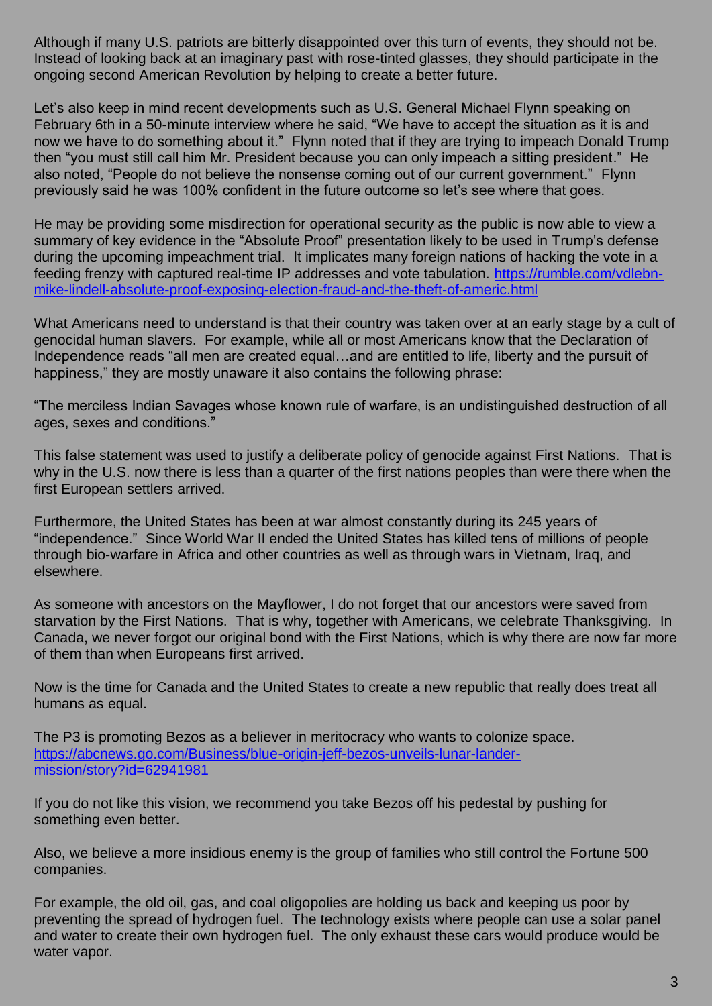Although if many U.S. patriots are bitterly disappointed over this turn of events, they should not be. Instead of looking back at an imaginary past with rose-tinted glasses, they should participate in the ongoing second American Revolution by helping to create a better future.

Let's also keep in mind recent developments such as U.S. General Michael Flynn speaking on February 6th in a 50-minute interview where he said, "We have to accept the situation as it is and now we have to do something about it." Flynn noted that if they are trying to impeach Donald Trump then "you must still call him Mr. President because you can only impeach a sitting president." He also noted, "People do not believe the nonsense coming out of our current government." Flynn previously said he was 100% confident in the future outcome so let's see where that goes.

He may be providing some misdirection for operational security as the public is now able to view a summary of key evidence in the "Absolute Proof" presentation likely to be used in Trump's defense during the upcoming impeachment trial. It implicates many foreign nations of hacking the vote in a feeding frenzy with captured real-time IP addresses and vote tabulation. [https://rumble.com/vdlebn](https://rumble.com/vdlebn-mike-lindell-absolute-proof-exposing-election-fraud-and-the-theft-of-americ.html)[mike-lindell-absolute-proof-exposing-election-fraud-and-the-theft-of-americ.html](https://rumble.com/vdlebn-mike-lindell-absolute-proof-exposing-election-fraud-and-the-theft-of-americ.html)

What Americans need to understand is that their country was taken over at an early stage by a cult of genocidal human slavers. For example, while all or most Americans know that the Declaration of Independence reads "all men are created equal…and are entitled to life, liberty and the pursuit of happiness," they are mostly unaware it also contains the following phrase:

"The merciless Indian Savages whose known rule of warfare, is an undistinguished destruction of all ages, sexes and conditions."

This false statement was used to justify a deliberate policy of genocide against First Nations. That is why in the U.S. now there is less than a quarter of the first nations peoples than were there when the first European settlers arrived.

Furthermore, the United States has been at war almost constantly during its 245 years of "independence." Since World War II ended the United States has killed tens of millions of people through bio-warfare in Africa and other countries as well as through wars in Vietnam, Iraq, and elsewhere.

As someone with ancestors on the Mayflower, I do not forget that our ancestors were saved from starvation by the First Nations. That is why, together with Americans, we celebrate Thanksgiving. In Canada, we never forgot our original bond with the First Nations, which is why there are now far more of them than when Europeans first arrived.

Now is the time for Canada and the United States to create a new republic that really does treat all humans as equal.

The P3 is promoting Bezos as a believer in meritocracy who wants to colonize space. [https://abcnews.go.com/Business/blue-origin-jeff-bezos-unveils-lunar-lander](https://abcnews.go.com/Business/blue-origin-jeff-bezos-unveils-lunar-lander-mission/story?id=62941981)[mission/story?id=62941981](https://abcnews.go.com/Business/blue-origin-jeff-bezos-unveils-lunar-lander-mission/story?id=62941981)

If you do not like this vision, we recommend you take Bezos off his pedestal by pushing for something even better.

Also, we believe a more insidious enemy is the group of families who still control the Fortune 500 companies.

For example, the old oil, gas, and coal oligopolies are holding us back and keeping us poor by preventing the spread of hydrogen fuel. The technology exists where people can use a solar panel and water to create their own hydrogen fuel. The only exhaust these cars would produce would be water vapor.